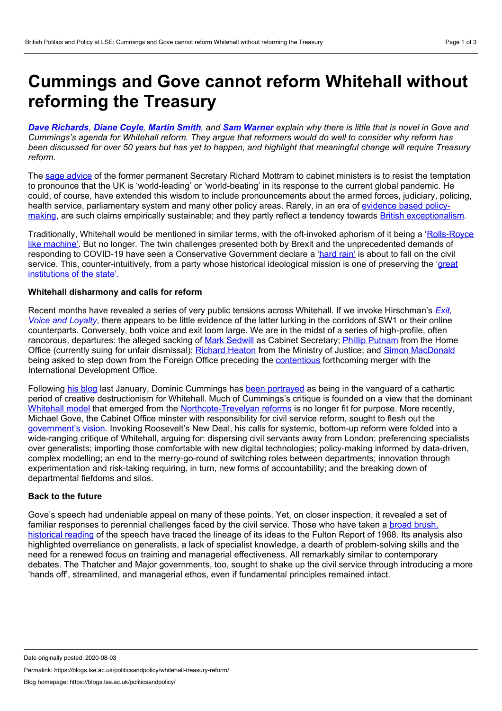# <span id="page-0-0"></span>**Cummings and Gove cannot reform Whitehall without reforming the Treasury**

Dave [Richards](#page-0-0), Diane [Coyle](#page-0-0), [Martin](#page-0-0) Smith, and Sam [Warner](#page-0-0) explain why there is little that is novel in Gove and Cummings's agenda for Whitehall reform. They argue that reformers would do well to consider why reform has been discussed for over 50 years but has yet to happen, and highlight that meaningful change will require Treasury *reform.*

The sage [advice](https://blogs.lse.ac.uk/politicsandpolicy/covid19-crisis-management-machinery/) of the former permanent Secretary Richard Mottram to cabinet ministers is to resist the temptation to pronounce that the UK is 'world-leading' or 'world-beating' in its response to the current global pandemic. He could, of course, have extended this wisdom to include pronouncements about the armed forces, judiciary, policing, health service, [parliamentary](https://www.palgrave.com/gp/book/9781137517807) system and many other policy areas. Rarely, in an era of evidence based policymaking, are such claims empirically sustainable; and they partly reflect a tendency towards British [exceptionalism](https://www.palgrave.com/gp/book/9783319499642).

Traditionally, Whitehall would be mentioned in similar terms, with the oft-invoked aphorism of it being a 'Rolls-Royce like machine'. But no longer. The twin challenges presented both by Brexit and the [unprecedented](https://www.prospectmagazine.co.uk/politics/government-confusion-over-brexit-means-our-world-class-civil-service-is-going-to-waste) demands of responding to COVID-19 have seen a Conservative Government declare a ['hard](https://www.economist.com/britain/2020/07/02/the-government-takes-on-the-civil-service) rain' is about to fall on the civil service. This, [counter-intuitively,](https://www.researchgate.net/publication/320396004_British_Conservatism_after_the_vote_for_Brexit_the_ideological_legacy_of_David_Cameron) from a party whose historical ideological mission is one of preserving the 'great institutions of the state'.

### **Whitehall disharmony and calls for reform**

Recent months have revealed a series of very public tensions across Whitehall. If we invoke [Hirschman's](https://books.google.co.uk/books/about/Exit_Voice_and_Loyalty.html?id=vYO6sDvjvcgC&printsec=frontcover&source=kp_read_button&redir_esc=y#v=onepage&q&f=false) *Exit, Voice and Loyalty*, there appears to be little evidence of the latter lurking in the corridors of SW1 or their online counterparts. Conversely, both voice and exit loom large. We are in the midst of a series of high-profile, often rancorous, departures: the alleged sacking of Mark [Sedwill](https://www.theguardian.com/politics/2020/jun/28/mark-sedwill-expected-to-quit-as-uks-top-civil-servant) as Cabinet Secretary; Phillip [Putnam](https://www.westminster-daily.com/2020/02/20/bully-patel-demanded-removal-of-home-office-top-official/) from the Home Office (currently suing for unfair dismissal); [Richard](https://www.bbc.co.uk/news/uk-politics-53351672) Heaton from the Ministry of Justice; and Simon [MacDonald](https://www.civilserviceworld.com/professions/article/foreign-office-head-simon-mcdonald-to-step-down-early-next-year-reports) being asked to step down from the Foreign Office preceding the [contentious](https://www.theguardian.com/politics/2020/jun/16/foreign-office-and-department-for-international-development-to-merge) forthcoming merger with the International Development Office.

Following his [blog](https://dominiccummings.com/author/dominiccummings/) last January, Dominic Cummings has been [portrayed](https://www.dailymail.co.uk/news/article-8509597/Civil-servants-circulate-dossier-Dominic-Cummings.html) as being in the vanguard of a cathartic period of creative destructionism for Whitehall. Much of Cummings's critique is founded on a view that the dominant [Whitehall](https://blogs.lse.ac.uk/politicsandpolicy/grand-brexit-strategies-can-whitehall-cope/) model that emerged from the [Northcote-Trevelyan](https://civilservice.blog.gov.uk/2015/05/24/timeless-values-in-an-age-of-change/) reforms is no longer fit for purpose. More recently, Michael Gove, the Cabinet Office minster with responsibility for civil service reform, sought to flesh out the [government's](https://www.gov.uk/government/speeches/the-privilege-of-public-service-given-as-the-ditchley-annual-lecture) vision. Invoking Roosevelt's New Deal, his calls for systemic, bottom-up reform were folded into a wide-ranging critique of Whitehall, arguing for: dispersing civil servants away from London; preferencing specialists over generalists; importing those comfortable with new digital technologies; policy-making informed by data-driven, complex modelling; an end to the merry-go-round of switching roles between departments; innovation through experimentation and risk-taking requiring, in turn, new forms of accountability; and the breaking down of departmental fiefdoms and silos.

#### **Back to the future**

Gove's speech had undeniable appeal on many of these points. Yet, on closer inspection, it revealed a set of familiar responses to perennial [challenges](https://blogs.lse.ac.uk/politicsandpolicy/dominic-cummings-civil-service/) faced by the civil service. Those who have taken a broad brush, historical reading of the speech have traced the lineage of its ideas to the Fulton Report of 1968. Its analysis also highlighted overreliance on generalists, a lack of specialist knowledge, a dearth of problem-solving skills and the need for a renewed focus on training and managerial effectiveness. All remarkably similar to contemporary debates. The Thatcher and Major governments, too, sought to shake up the civil service through introducing a more 'hands off', streamlined, and managerial ethos, even iffundamental principles remained intact.

Permalink: https://blogs.lse.ac.uk/politicsandpolicy/whitehall-treasury-reform/

Date originally posted: 2020-08-03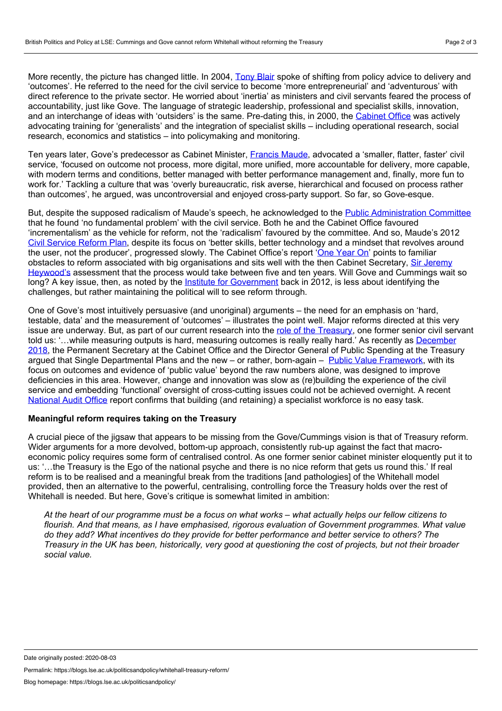More recently, the picture has changed little. In 2004, [Tony](https://www.theguardian.com/politics/2004/feb/24/Whitehall.uk1) Blair spoke of shifting from policy advice to delivery and 'outcomes'. He referred to the need for the civil service to become 'more entrepreneurial' and 'adventurous' with direct reference to the private sector. He worried about 'inertia' as ministers and civil servants feared the process of accountability, just like Gove. The language of strategic leadership, professional and specialist skills, innovation, and an interchange of ideas with 'outsiders' is the same. Pre-dating this, in 2000, the [Cabinet](https://dera.ioe.ac.uk/6321/2/coiaddin.pdf) Office was actively advocating training for 'generalists' and the integration of specialist skills – including operational research, social research, economics and statistics – into policymaking and monitoring.

Ten years later, Gove's predecessor as Cabinet Minister, [Francis](https://www.gov.uk/government/speeches/ministers-and-mandarins-speaking-truth-unto-power) Maude, advocated a 'smaller, flatter, faster' civil service, 'focused on outcome not process, more digital, more unified, more accountable for delivery, more capable, with modern terms and conditions, better managed with better performance management and, finally, more fun to work for.' Tackling a culture that was 'overly bureaucratic, risk averse, hierarchical and focused on process rather than outcomes', he argued, was uncontroversial and enjoyed cross-party support. So far, so Gove-esque.

But, despite the supposed radicalism of Maude's speech, he acknowledged to the Public [Administration](https://publications.parliament.uk/pa/cm201314/cmselect/cmpubadm/74/74.pdf) Committee that he found 'no fundamental problem' with the civil service. Both he and the Cabinet Office favoured 'incrementalism' as the vehicle for reform, not the 'radicalism' favoured by the committee. And so, Maude's 2012 Civil [Service](https://assets.publishing.service.gov.uk/government/uploads/system/uploads/attachment_data/file/305148/Civil-Service-Reform-Plan-final.pdf) Reform Plan, despite its focus on 'better skills, better technology and a mindset that revolves around the user, not the producer', progressed slowly. The Cabinet Office's report 'One [Year](https://www.instituteforgovernment.org.uk/sites/default/files/publications/oyo%20cs%20reform%20final_v3.pdf) On' points to familiar obstacles to reform associated with big [organisations](https://publications.parliament.uk/pa/cm201314/cmselect/cmpubadm/74/74.pdf) and sits well with the then Cabinet Secretary, Sir Jeremy Heywood's assessment that the process would take between five and ten years. Will Gove and Cummings wait so long? A key issue, then, as noted by the *Institute for [Government](https://www.instituteforgovernment.org.uk/news/latest/our-verdict-civil-service-reform-plan)* back in 2012, is less about identifying the challenges, but rather maintaining the political will to see reform through.

One of Gove's most intuitively persuasive (and unoriginal) arguments – the need for an emphasis on 'hard, testable, data' and the measurement of 'outcomes' – illustrates the point well. Major reforms directed at this very issue are underway. But, as part of our current research into the role of the [Treasury,](https://sites.manchester.ac.uk/public-expenditure-planning-and-control/) one former senior civil servant told us: '…while measuring outputs is hard, measuring outcomes is really really hard.' As recently as December 2018, the [Permanent](http://data.parliament.uk/writtenevidence/committeeevidence.svc/evidencedocument/public-accounts-committee/driving-value-in-public-spending/oral/94118.pdf) Secretary at the Cabinet Office and the Director General of Public Spending at the Treasury argued that Single Departmental Plans and the new - or rather, born-again - Public Value [Framework](https://assets.publishing.service.gov.uk/government/uploads/system/uploads/attachment_data/file/785553/public_value_framework_and_supplementary_guidance_web.pdf), with its focus on outcomes and evidence of 'public value' beyond the raw numbers alone, was designed to improve deficiencies in this area. However, change and innovation was slow as (re)building the experience of the civil service and embedding 'functional' oversight of cross-cutting issues could not be achieved overnight. A recent [National](https://www.nao.org.uk/wp-content/uploads/2020/07/Specialist-skills-in-the-Civil-Service.pdf) Audit Office report confirms that building (and retaining) a specialist workforce is no easy task.

## **Meaningful reform requires taking on the Treasury**

A crucial piece of the jigsaw that appears to be missing from the Gove/Cummings vision is that of Treasury reform. Wider arguments for a more devolved, bottom-up approach, consistently rub-up against the fact that macro economic policy requires some form of centralised control. As one former senior cabinet minister eloquently put it to us: '…the Treasury is the Ego of the national psyche and there is no nice reform that gets us round this.' If real reform is to be realised and a meaningful break from the traditions [and pathologies] of the Whitehall model provided, then an alternative to the powerful, centralising, controlling force the Treasury holds over the rest of Whitehall is needed. But here, Gove's critique is somewhat limited in ambition:

At the heart of our programme must be a focus on what works - what actually helps our fellow citizens to *flourish. And that means, as I have emphasised, rigorous evaluation of Government programmes. What value do they add? What incentives do they provide for better performance and better service to others? The* Treasury in the UK has been, historically, very good at questioning the cost of projects, but not their broader *social value.*

Permalink: https://blogs.lse.ac.uk/politicsandpolicy/whitehall-treasury-reform/

Date originally posted: 2020-08-03